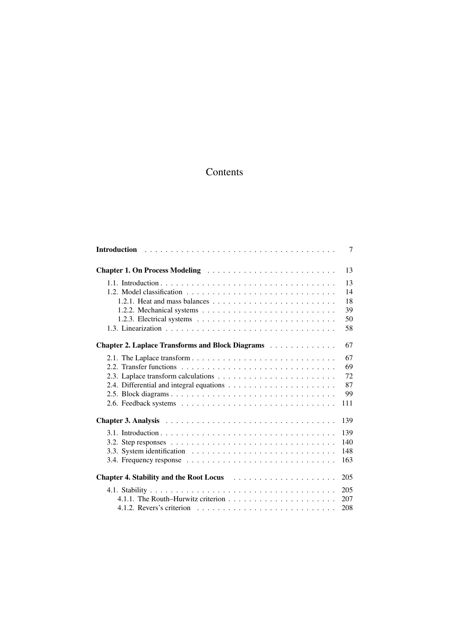## Contents

|                                                                                                    | 7   |
|----------------------------------------------------------------------------------------------------|-----|
|                                                                                                    | 13  |
|                                                                                                    | 13  |
|                                                                                                    | 14  |
|                                                                                                    | 18  |
|                                                                                                    | 39  |
|                                                                                                    | 50  |
|                                                                                                    | 58  |
| Chapter 2. Laplace Transforms and Block Diagrams                                                   | 67  |
|                                                                                                    | 67  |
|                                                                                                    | 69  |
|                                                                                                    | 72  |
|                                                                                                    | 87  |
|                                                                                                    | 99  |
|                                                                                                    | 111 |
|                                                                                                    | 139 |
|                                                                                                    | 139 |
| 3.2. Step responses $\ldots \ldots \ldots \ldots \ldots \ldots \ldots \ldots \ldots \ldots \ldots$ | 140 |
|                                                                                                    | 148 |
| 3.4. Frequency response $\ldots \ldots \ldots \ldots \ldots \ldots \ldots \ldots \ldots \ldots$    | 163 |
|                                                                                                    | 205 |
|                                                                                                    | 205 |
|                                                                                                    | 207 |
|                                                                                                    | 208 |